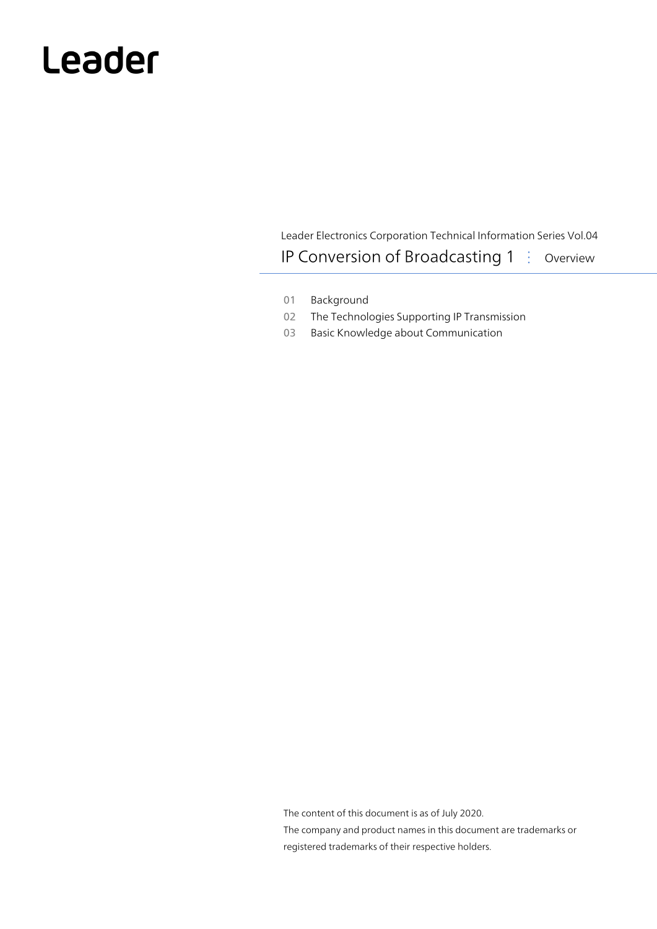# Leader

Leader Electronics Corporation Technical Information Series Vol.04 IP Conversion of Broadcasting 1 : Overview

- 01 Background
- 02 The Technologies Supporting IP Transmission
- 03 Basic Knowledge about Communication

The content of this document is as of July 2020. The company and product names in this document are trademarks or registered trademarks of their respective holders.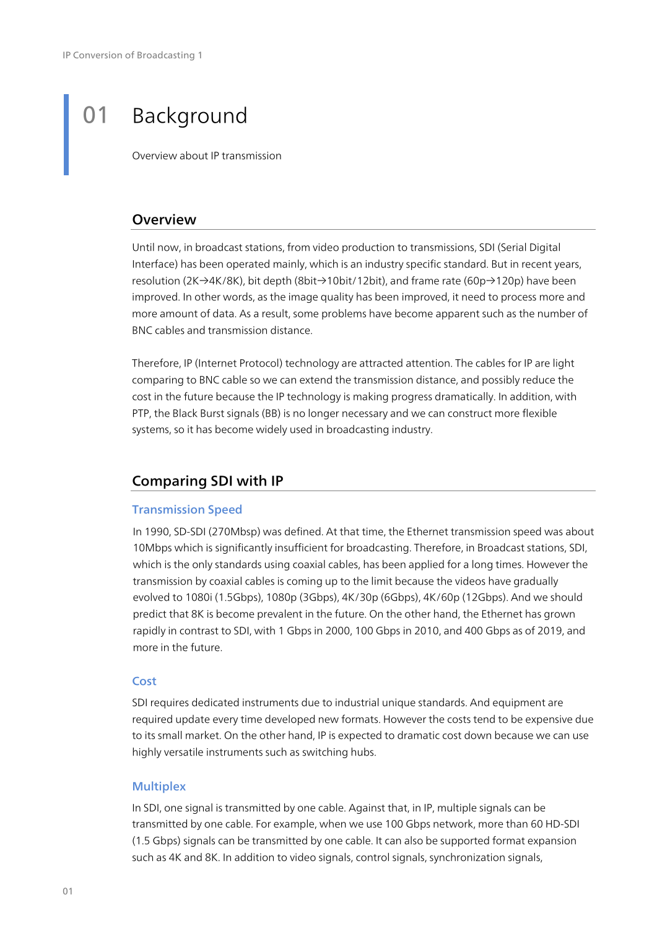# 01 Background

Overview about IP transmission

# **Overview**

Until now, in broadcast stations, from video production to transmissions, SDI (Serial Digital Interface) has been operated mainly, which is an industry specific standard. But in recent years, resolution (2K→4K/8K), bit depth (8bit→10bit/12bit), and frame rate (60p→120p) have been improved. In other words, as the image quality has been improved, it need to process more and more amount of data. As a result, some problems have become apparent such as the number of BNC cables and transmission distance.

Therefore, IP (Internet Protocol) technology are attracted attention. The cables for IP are light comparing to BNC cable so we can extend the transmission distance, and possibly reduce the cost in the future because the IP technology is making progress dramatically. In addition, with PTP, the Black Burst signals (BB) is no longer necessary and we can construct more flexible systems, so it has become widely used in broadcasting industry.

# Comparing SDI with IP

#### Transmission Speed

In 1990, SD-SDI (270Mbsp) was defined. At that time, the Ethernet transmission speed was about 10Mbps which is significantly insufficient for broadcasting. Therefore, in Broadcast stations, SDI, which is the only standards using coaxial cables, has been applied for a long times. However the transmission by coaxial cables is coming up to the limit because the videos have gradually evolved to 1080i (1.5Gbps), 1080p (3Gbps), 4K/30p (6Gbps), 4K/60p (12Gbps). And we should predict that 8K is become prevalent in the future. On the other hand, the Ethernet has grown rapidly in contrast to SDI, with 1 Gbps in 2000, 100 Gbps in 2010, and 400 Gbps as of 2019, and more in the future.

#### **Cost**

SDI requires dedicated instruments due to industrial unique standards. And equipment are required update every time developed new formats. However the costs tend to be expensive due to its small market. On the other hand, IP is expected to dramatic cost down because we can use highly versatile instruments such as switching hubs.

#### **Multiplex**

In SDI, one signal is transmitted by one cable. Against that, in IP, multiple signals can be transmitted by one cable. For example, when we use 100 Gbps network, more than 60 HD-SDI (1.5 Gbps) signals can be transmitted by one cable. It can also be supported format expansion such as 4K and 8K. In addition to video signals, control signals, synchronization signals,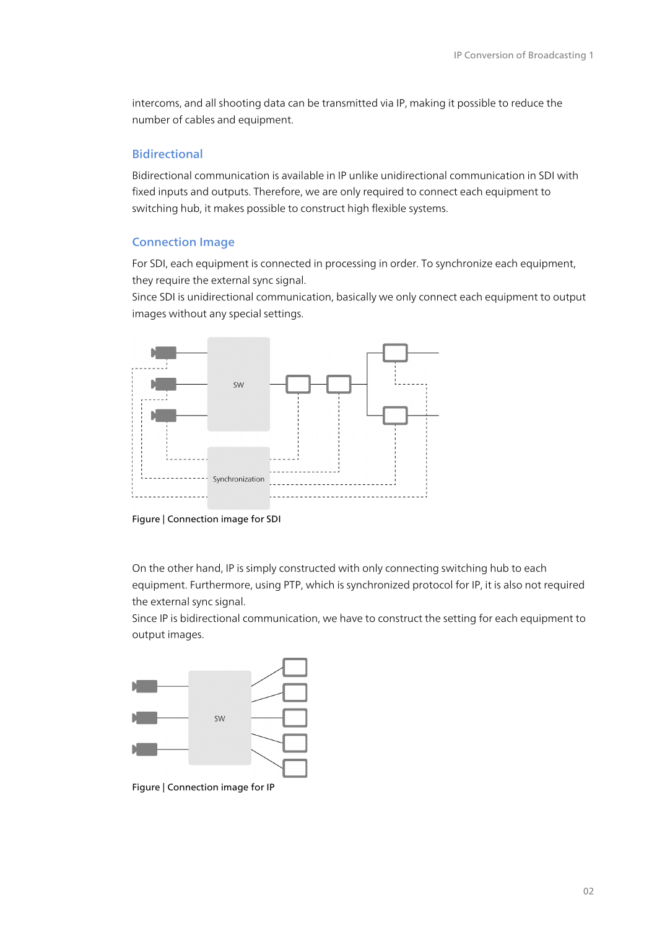intercoms, and all shooting data can be transmitted via IP, making it possible to reduce the number of cables and equipment.

#### Bidirectional

Bidirectional communication is available in IP unlike unidirectional communication in SDI with fixed inputs and outputs. Therefore, we are only required to connect each equipment to switching hub, it makes possible to construct high flexible systems.

#### Connection Image

For SDI, each equipment is connected in processing in order. To synchronize each equipment, they require the external sync signal.

Since SDI is unidirectional communication, basically we only connect each equipment to output images without any special settings.





On the other hand, IP is simply constructed with only connecting switching hub to each equipment. Furthermore, using PTP, which is synchronized protocol for IP, it is also not required the external sync signal.

Since IP is bidirectional communication, we have to construct the setting for each equipment to output images.



Figure | Connection image for IP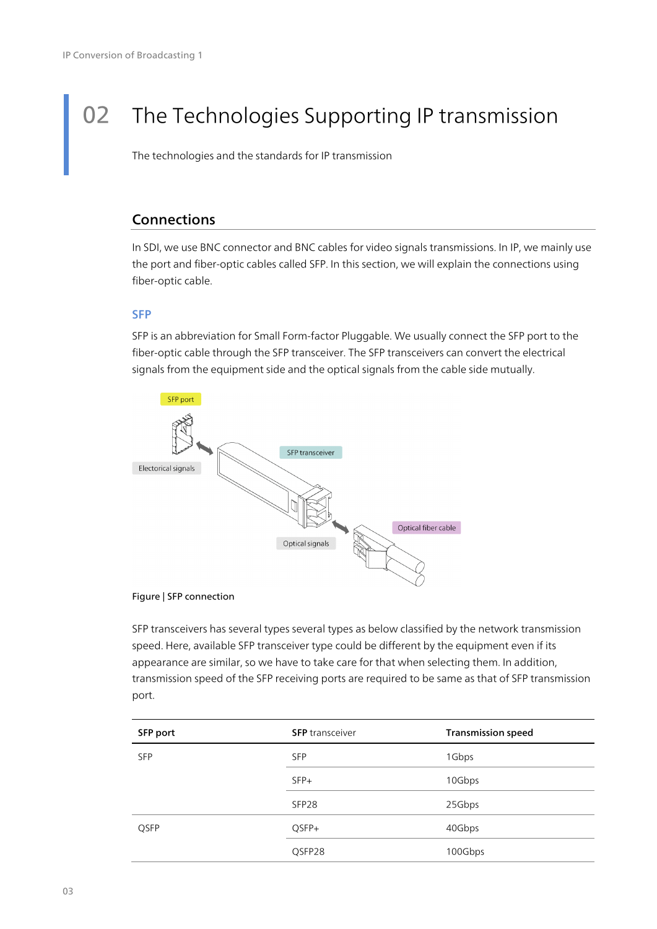# 02 The Technologies Supporting IP transmission

The technologies and the standards for IP transmission

# **Connections**

In SDI, we use BNC connector and BNC cables for video signals transmissions. In IP, we mainly use the port and fiber-optic cables called SFP. In this section, we will explain the connections using fiber-optic cable.

#### SFP

SFP is an abbreviation for Small Form-factor Pluggable. We usually connect the SFP port to the fiber-optic cable through the SFP transceiver. The SFP transceivers can convert the electrical signals from the equipment side and the optical signals from the cable side mutually.



#### Figure | SFP connection

SFP transceivers has several types several types as below classified by the network transmission speed. Here, available SFP transceiver type could be different by the equipment even if its appearance are similar, so we have to take care for that when selecting them. In addition, transmission speed of the SFP receiving ports are required to be same as that of SFP transmission port.

| SFP port   | <b>SFP</b> transceiver | <b>Transmission speed</b> |
|------------|------------------------|---------------------------|
| <b>SFP</b> | <b>SFP</b>             | 1Gbps                     |
|            | $SFP+$                 | 10Gbps                    |
|            | SFP <sub>28</sub>      | 25Gbps                    |
| QSFP       | QSFP+                  | 40Gbps                    |
|            | QSFP28                 | 100Gbps                   |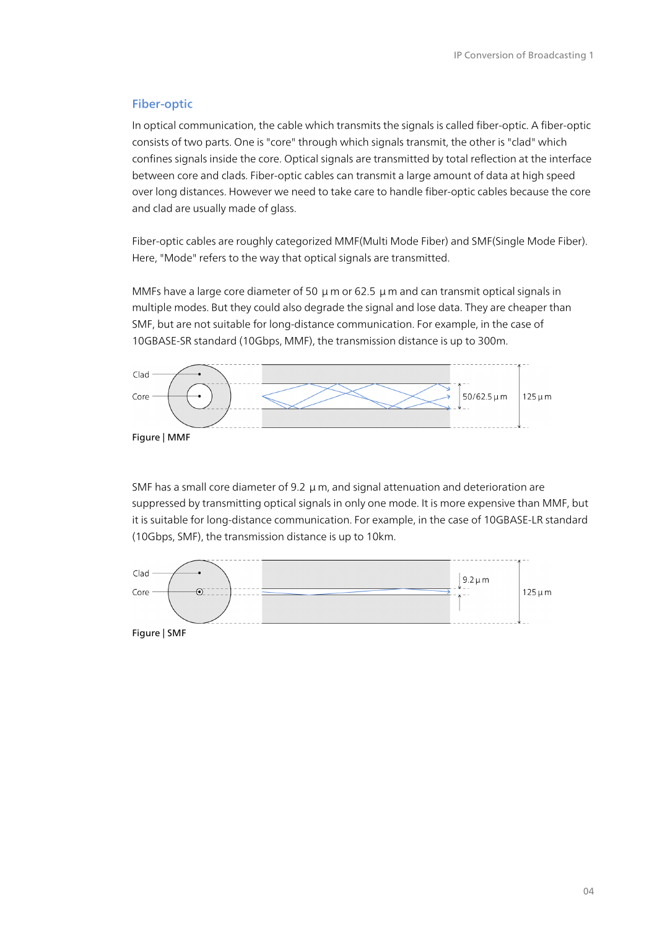#### Fiber-optic

In optical communication, the cable which transmits the signals is called fiber-optic. A fiber-optic consists of two parts. One is "core" through which signals transmit, the other is "clad" which confines signals inside the core. Optical signals are transmitted by total reflection at the interface between core and clads. Fiber-optic cables can transmit a large amount of data at high speed over long distances. However we need to take care to handle fiber-optic cables because the core and clad are usually made of glass.

Fiber-optic cables are roughly categorized MMF(Multi Mode Fiber) and SMF(Single Mode Fiber). Here, "Mode" refers to the way that optical signals are transmitted.

MMFs have a large core diameter of 50 μm or 62.5 μm and can transmit optical signals in multiple modes. But they could also degrade the signal and lose data. They are cheaper than SMF, but are not suitable for long-distance communication. For example, in the case of 10GBASE-SR standard (10Gbps, MMF), the transmission distance is up to 300m.



SMF has a small core diameter of 9.2  $\mu$  m, and signal attenuation and deterioration are suppressed by transmitting optical signals in only one mode. It is more expensive than MMF, but it is suitable for long-distance communication. For example, in the case of 10GBASE-LR standard (10Gbps, SMF), the transmission distance is up to 10km.

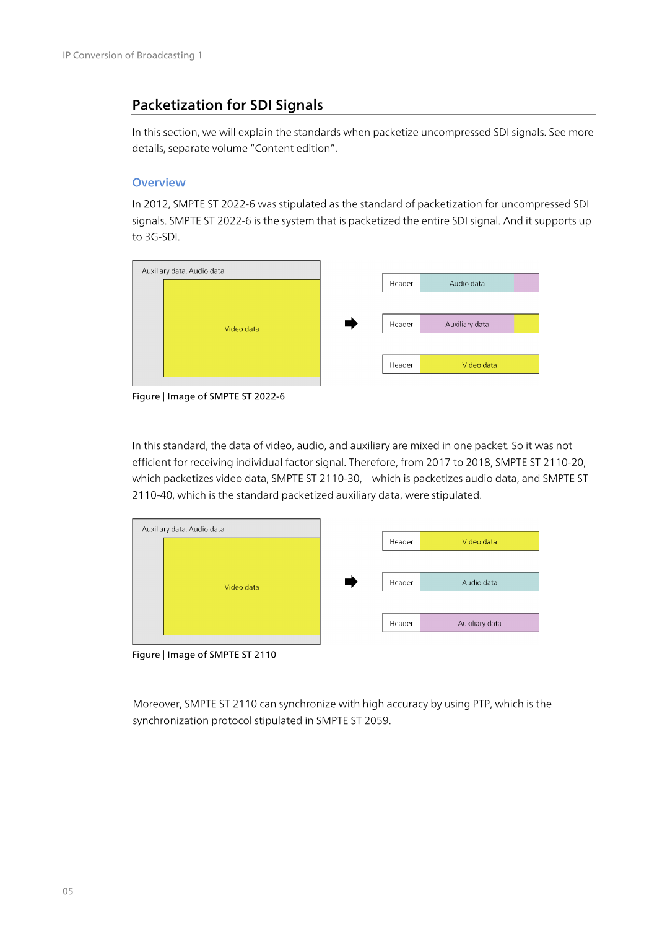# Packetization for SDI Signals

In this section, we will explain the standards when packetize uncompressed SDI signals. See more details, separate volume "Content edition".

#### **Overview**

In 2012, SMPTE ST 2022-6 was stipulated as the standard of packetization for uncompressed SDI signals. SMPTE ST 2022-6 is the system that is packetized the entire SDI signal. And it supports up to 3G-SDI.



Figure | Image of SMPTE ST 2022-6

In this standard, the data of video, audio, and auxiliary are mixed in one packet. So it was not efficient for receiving individual factor signal. Therefore, from 2017 to 2018, SMPTE ST 2110-20, which packetizes video data, SMPTE ST 2110-30, which is packetizes audio data, and SMPTE ST 2110-40, which is the standard packetized auxiliary data, were stipulated.

| Auxiliary data, Audio data |        |                |
|----------------------------|--------|----------------|
|                            | Header | Video data     |
|                            |        |                |
| Video data                 | Header | Audio data     |
|                            |        |                |
|                            | Header | Auxiliary data |
|                            |        |                |

Figure | Image of SMPTE ST 2110

Moreover, SMPTE ST 2110 can synchronize with high accuracy by using PTP, which is the synchronization protocol stipulated in SMPTE ST 2059.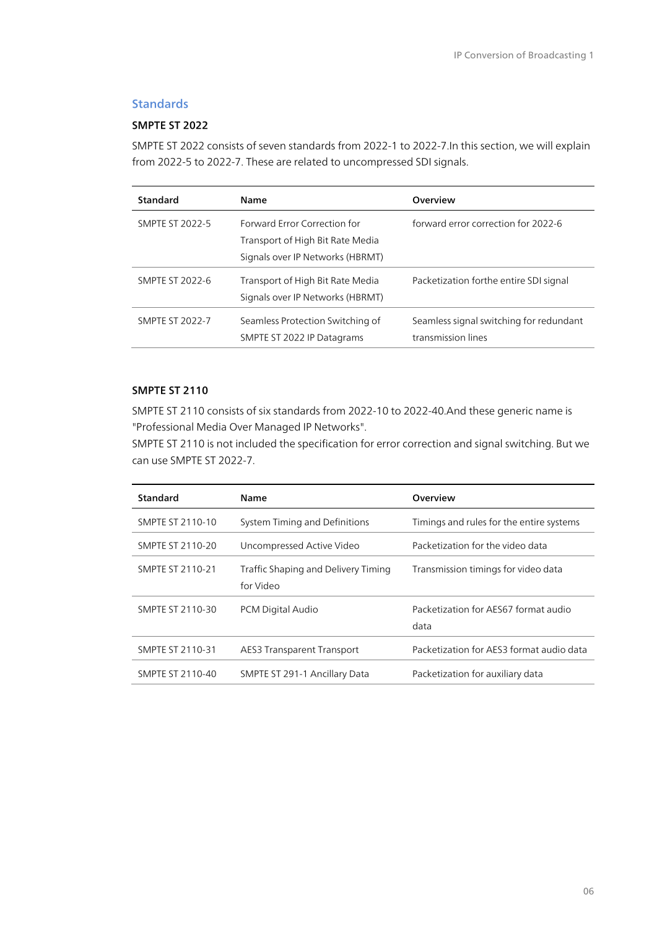# **Standards**

#### SMPTE ST 2022

SMPTE ST 2022 consists of seven standards from 2022-1 to 2022-7.In this section, we will explain from 2022-5 to 2022-7. These are related to uncompressed SDI signals.

| Standard               | Name                                                                                                 | Overview                                                      |
|------------------------|------------------------------------------------------------------------------------------------------|---------------------------------------------------------------|
| <b>SMPTE ST 2022-5</b> | Forward Error Correction for<br>Transport of High Bit Rate Media<br>Signals over IP Networks (HBRMT) | forward error correction for 2022-6                           |
| <b>SMPTE ST 2022-6</b> | Transport of High Bit Rate Media<br>Signals over IP Networks (HBRMT)                                 | Packetization forthe entire SDI signal                        |
| <b>SMPTE ST 2022-7</b> | Seamless Protection Switching of<br>SMPTE ST 2022 IP Datagrams                                       | Seamless signal switching for redundant<br>transmission lines |

#### SMPTE ST 2110

SMPTE ST 2110 consists of six standards from 2022-10 to 2022-40.And these generic name is "Professional Media Over Managed IP Networks".

SMPTE ST 2110 is not included the specification for error correction and signal switching. But we can use SMPTE ST 2022-7.

| Standard         | Name                                             | Overview                                     |
|------------------|--------------------------------------------------|----------------------------------------------|
| SMPTE ST 2110-10 | System Timing and Definitions                    | Timings and rules for the entire systems     |
| SMPTE ST 2110-20 | Uncompressed Active Video                        | Packetization for the video data             |
| SMPTE ST 2110-21 | Traffic Shaping and Delivery Timing<br>for Video | Transmission timings for video data          |
| SMPTE ST 2110-30 | PCM Digital Audio                                | Packetization for AES67 format audio<br>data |
| SMPTE ST 2110-31 | <b>AES3 Transparent Transport</b>                | Packetization for AES3 format audio data     |
| SMPTE ST 2110-40 | SMPTE ST 291-1 Ancillary Data                    | Packetization for auxiliary data             |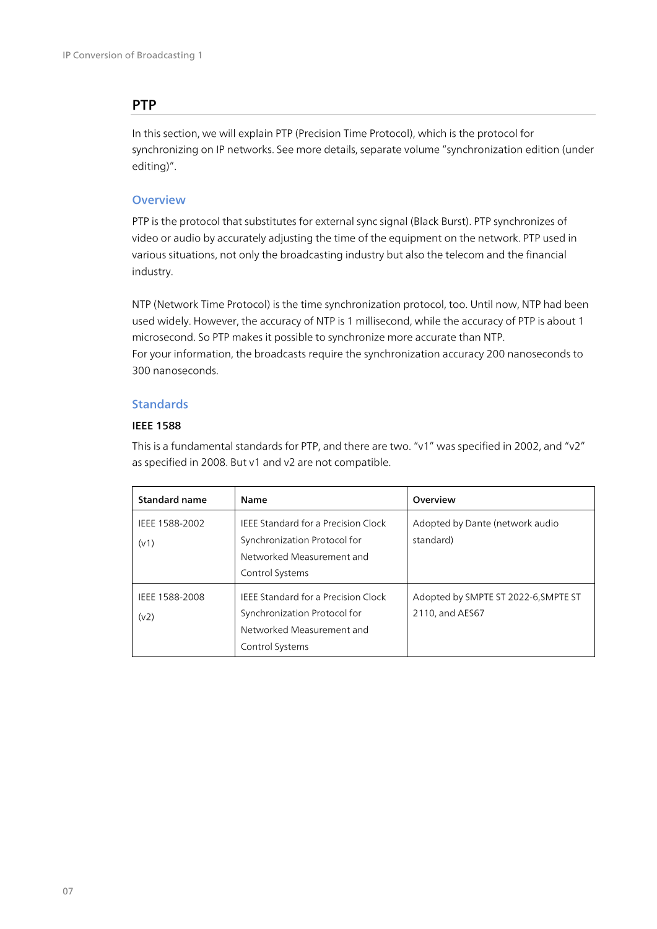# **PTP**

In this section, we will explain PTP (Precision Time Protocol), which is the protocol for synchronizing on IP networks. See more details, separate volume "synchronization edition (under editing)".

#### **Overview**

PTP is the protocol that substitutes for external sync signal (Black Burst). PTP synchronizes of video or audio by accurately adjusting the time of the equipment on the network. PTP used in various situations, not only the broadcasting industry but also the telecom and the financial industry.

NTP (Network Time Protocol) is the time synchronization protocol, too. Until now, NTP had been used widely. However, the accuracy of NTP is 1 millisecond, while the accuracy of PTP is about 1 microsecond. So PTP makes it possible to synchronize more accurate than NTP. For your information, the broadcasts require the synchronization accuracy 200 nanoseconds to 300 nanoseconds.

#### **Standards**

#### IEEE 1588

This is a fundamental standards for PTP, and there are two. "v1" was specified in 2002, and "v2" as specified in 2008. But v1 and v2 are not compatible.

| <b>Standard name</b>   | Name                                                                                                                       | Overview                                                |
|------------------------|----------------------------------------------------------------------------------------------------------------------------|---------------------------------------------------------|
| IEEE 1588-2002<br>(v1) | <b>IEEE Standard for a Precision Clock</b><br>Synchronization Protocol for<br>Networked Measurement and<br>Control Systems | Adopted by Dante (network audio<br>standard)            |
| IEEE 1588-2008<br>(v2) | <b>IEEE Standard for a Precision Clock</b><br>Synchronization Protocol for<br>Networked Measurement and<br>Control Systems | Adopted by SMPTE ST 2022-6, SMPTE ST<br>2110, and AES67 |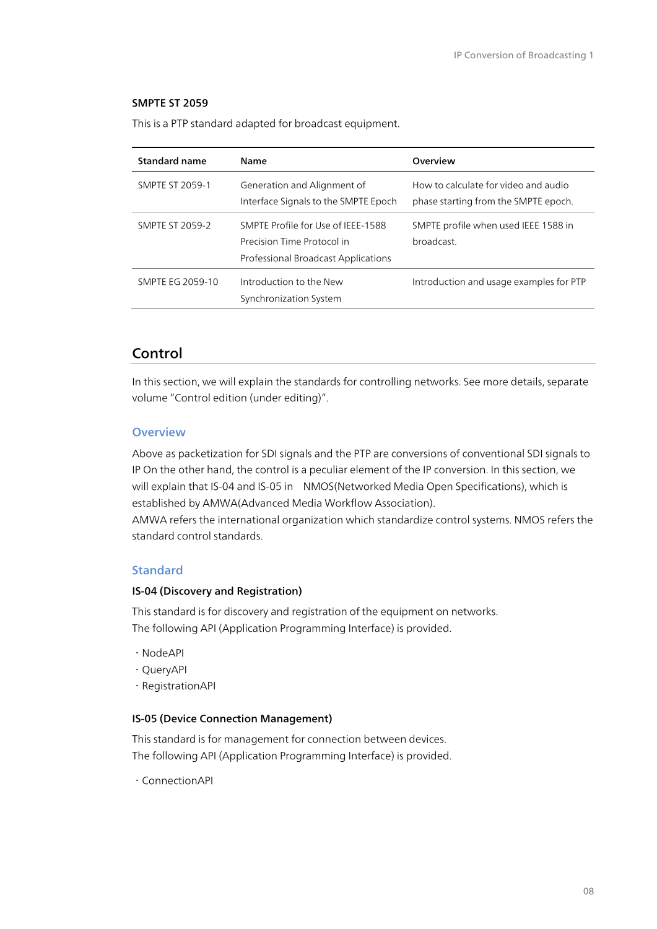#### SMPTE ST 2059

This is a PTP standard adapted for broadcast equipment.

| Standard name          | Name                                                                                                    | Overview                                                                     |
|------------------------|---------------------------------------------------------------------------------------------------------|------------------------------------------------------------------------------|
| <b>SMPTE ST 2059-1</b> | Generation and Alignment of<br>Interface Signals to the SMPTE Epoch                                     | How to calculate for video and audio<br>phase starting from the SMPTE epoch. |
| <b>SMPTE ST 2059-2</b> | SMPTE Profile for Use of IFFF-1588<br>Precision Time Protocol in<br>Professional Broadcast Applications | SMPTE profile when used IEEE 1588 in<br>broadcast.                           |
| SMPTE EG 2059-10       | Introduction to the New<br>Synchronization System                                                       | Introduction and usage examples for PTP                                      |

# Control

In this section, we will explain the standards for controlling networks. See more details, separate volume "Control edition (under editing)".

#### **Overview**

Above as packetization for SDI signals and the PTP are conversions of conventional SDI signals to IP On the other hand, the control is a peculiar element of the IP conversion. In this section, we will explain that IS-04 and IS-05 in NMOS(Networked Media Open Specifications), which is established by AMWA(Advanced Media Workflow Association).

AMWA refers the international organization which standardize control systems. NMOS refers the standard control standards.

#### Standard

#### IS-04 (Discovery and Registration)

This standard is for discovery and registration of the equipment on networks. The following API (Application Programming Interface) is provided.

- ・NodeAPI
- ・QueryAPI
- ・RegistrationAPI

#### IS-05 (Device Connection Management)

This standard is for management for connection between devices. The following API (Application Programming Interface) is provided.

・ConnectionAPI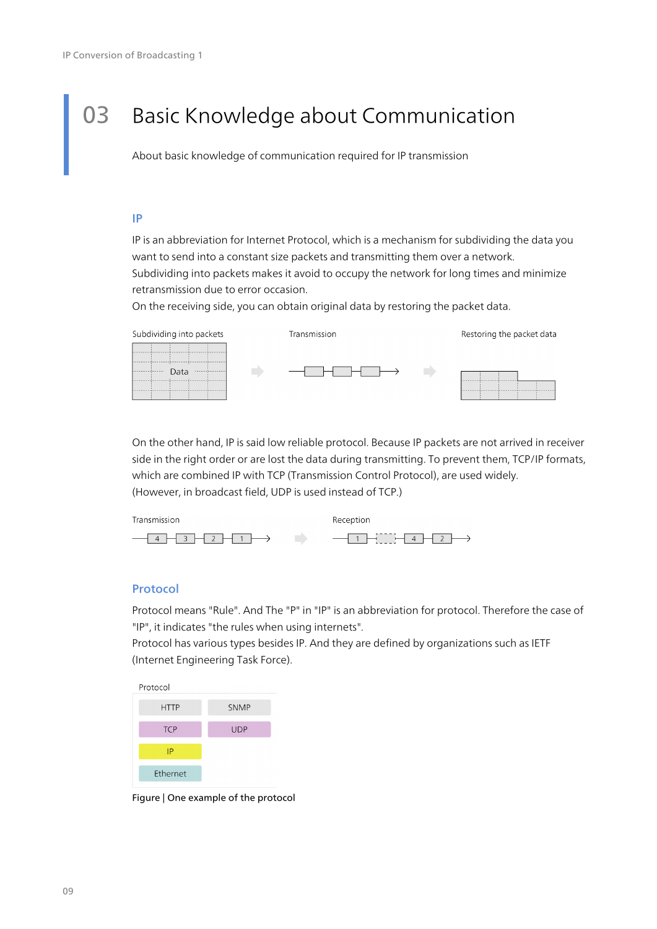# 03 Basic Knowledge about Communication

About basic knowledge of communication required for IP transmission

#### IP

IP is an abbreviation for Internet Protocol, which is a mechanism for subdividing the data you want to send into a constant size packets and transmitting them over a network. Subdividing into packets makes it avoid to occupy the network for long times and minimize retransmission due to error occasion.

On the receiving side, you can obtain original data by restoring the packet data.



On the other hand, IP is said low reliable protocol. Because IP packets are not arrived in receiver side in the right order or are lost the data during transmitting. To prevent them, TCP/IP formats, which are combined IP with TCP (Transmission Control Protocol), are used widely. (However, in broadcast field, UDP is used instead of TCP.)

| Transmission                      | Reception                                  |
|-----------------------------------|--------------------------------------------|
| $-4$ $-3$ $-2$ $-1$ $\rightarrow$ | $-1$ $-1$ $-1$ $+1$ $+1$ $2$ $\rightarrow$ |

#### Protocol

Protocol means "Rule". And The "P" in "IP" is an abbreviation for protocol. Therefore the case of "IP", it indicates "the rules when using internets".

Protocol has various types besides IP. And they are defined by organizations such as IETF (Internet Engineering Task Force).



Figure | One example of the protocol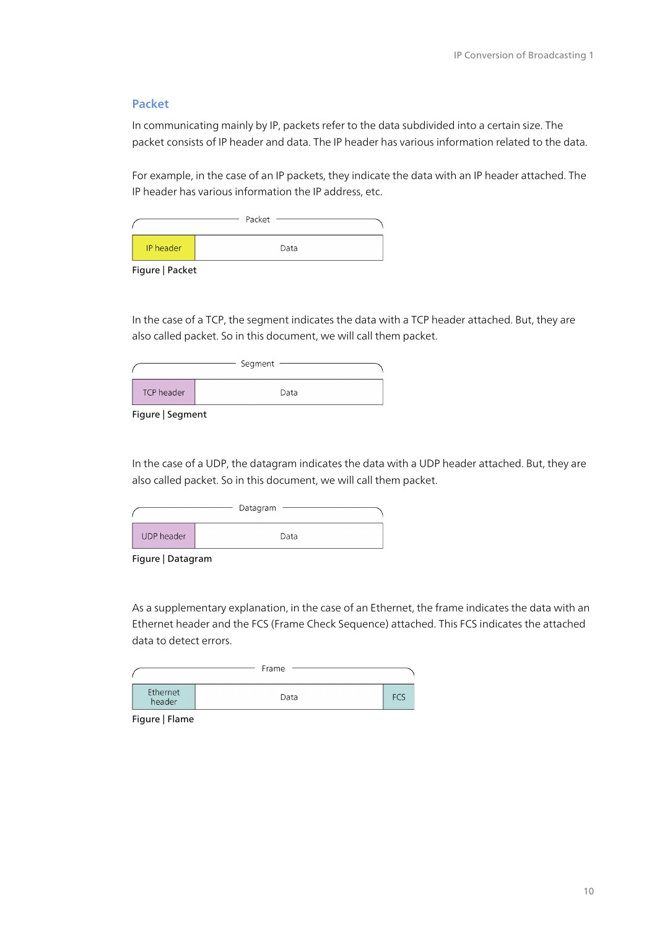#### Packet

In communicating mainly by IP, packets refer to the data subdivided into a certain size. The packet consists of IP header and data. The IP header has various information related to the data.

For example, in the case of an IP packets, they indicate the data with an IP header attached. The IP header has various information the IP address, etc.

|           | Packet |  |
|-----------|--------|--|
| IP header | Data   |  |

Figure | Packet

In the case of a TCP, the segment indicates the data with a TCP header attached. But, they are also called packet. So in this document, we will call them packet.

|            | Segment |
|------------|---------|
| TCP header | Data    |

Figure | Segment

In the case of a UDP, the datagram indicates the data with a UDP header attached. But, they are also called packet. So in this document, we will call them packet.

|            | Datagram |  |
|------------|----------|--|
| UDP header | Data     |  |

Figure | Datagram

As a supplementary explanation, in the case of an Ethernet, the frame indicates the data with an Ethernet header and the FCS (Frame Check Sequence) attached. This FCS indicates the attached data to detect errors.

|                    | Frame |     |
|--------------------|-------|-----|
| Ethernet<br>header | Data  | FCS |

Figure | Flame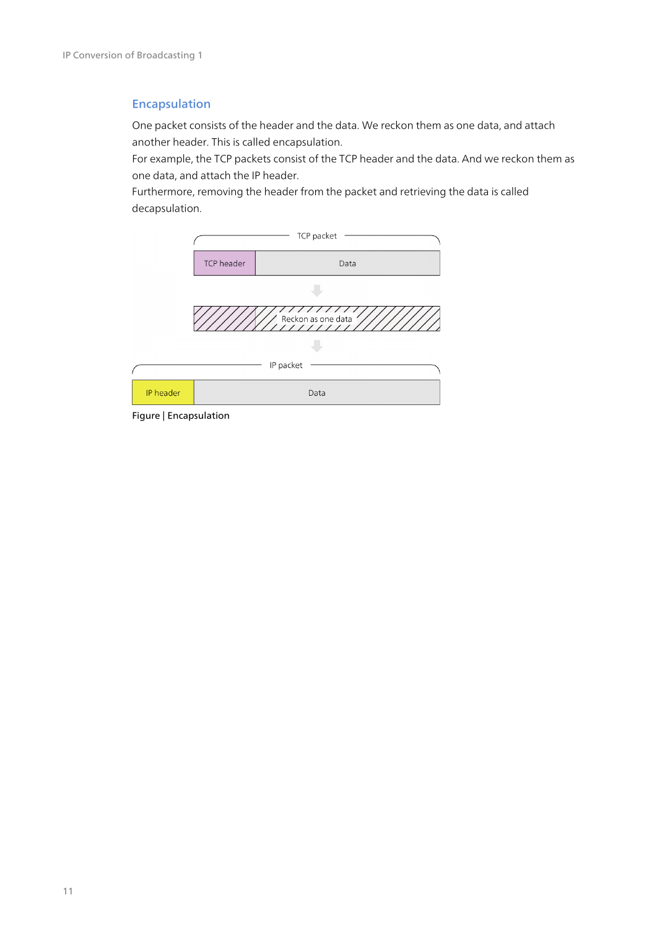### Encapsulation

One packet consists of the header and the data. We reckon them as one data, and attach another header. This is called encapsulation.

For example, the TCP packets consist of the TCP header and the data. And we reckon them as one data, and attach the IP header.

Furthermore, removing the header from the packet and retrieving the data is called decapsulation.



Figure | Encapsulation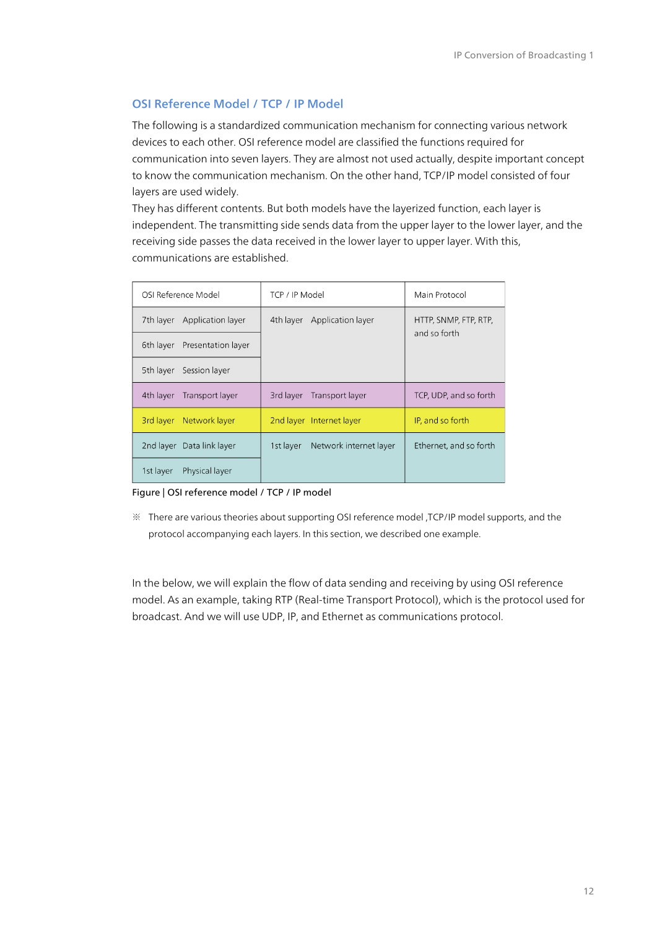### OSI Reference Model / TCP / IP Model

The following is a standardized communication mechanism for connecting various network devices to each other. OSI reference model are classified the functions required for communication into seven layers. They are almost not used actually, despite important concept to know the communication mechanism. On the other hand, TCP/IP model consisted of four layers are used widely.

They has different contents. But both models have the layerized function, each layer is independent. The transmitting side sends data from the upper layer to the lower layer, and the receiving side passes the data received in the lower layer to upper layer. With this, communications are established.

| OSI Reference Model            | TCP / IP Model                      | Main Protocol          |
|--------------------------------|-------------------------------------|------------------------|
| 7th layer<br>Application layer | 4th layer<br>Application layer      | HTTP, SNMP, FTP, RTP,  |
| 6th layer Presentation layer   |                                     | and so forth           |
| Session layer<br>5th layer     |                                     |                        |
|                                |                                     |                        |
| 4th layer<br>Transport layer   | 3rd layer<br>Transport layer        | TCP, UDP, and so forth |
| 3rd layer Network layer        | 2nd layer Internet layer            | IP, and so forth       |
| 2nd layer Data link layer      | Network internet layer<br>1st layer | Ethernet, and so forth |

#### Figure | OSI reference model / TCP / IP model

※ There are various theories about supporting OSI reference model ,TCP/IP model supports, and the protocol accompanying each layers. In this section, we described one example.

In the below, we will explain the flow of data sending and receiving by using OSI reference model. As an example, taking RTP (Real-time Transport Protocol), which is the protocol used for broadcast. And we will use UDP, IP, and Ethernet as communications protocol.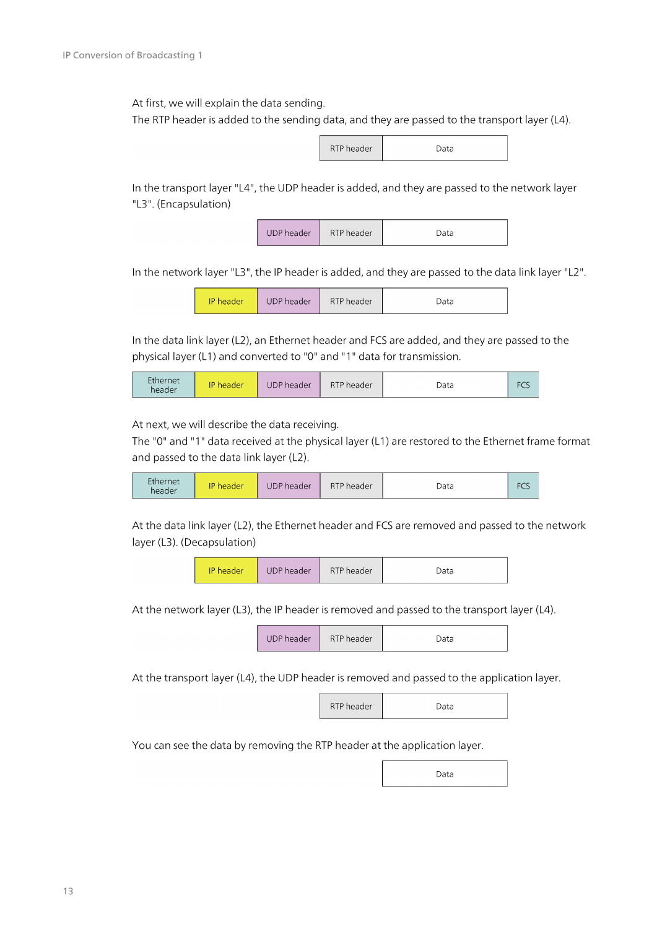At first, we will explain the data sending.

The RTP header is added to the sending data, and they are passed to the transport layer (L4).



In the transport layer "L4", the UDP header is added, and they are passed to the network layer "L3". (Encapsulation)

> **UDP** header RTP header Data

In the network layer "L3", the IP header is added, and they are passed to the data link layer "L2".

| UDP header<br>IP header | RTP header | Data |
|-------------------------|------------|------|
|-------------------------|------------|------|

In the data link layer (L2), an Ethernet header and FCS are added, and they are passed to the physical layer (L1) and converted to "0" and "1" data for transmission.

| Ethernet<br>header | ID<br>header | <b>UDP</b> header | RTP header | Data |  |
|--------------------|--------------|-------------------|------------|------|--|
|--------------------|--------------|-------------------|------------|------|--|

At next, we will describe the data receiving.

The "0" and "1" data received at the physical layer (L1) are restored to the Ethernet frame format and passed to the data link layer (L2).



At the data link layer (L2), the Ethernet header and FCS are removed and passed to the network layer (L3). (Decapsulation)



At the network layer (L3), the IP header is removed and passed to the transport layer (L4).

| <b>UDP</b> header | RTP header | )ata |
|-------------------|------------|------|
|-------------------|------------|------|

At the transport layer (L4), the UDP header is removed and passed to the application layer.

| RTP header | Data |
|------------|------|
|------------|------|

You can see the data by removing the RTP header at the application layer.

Data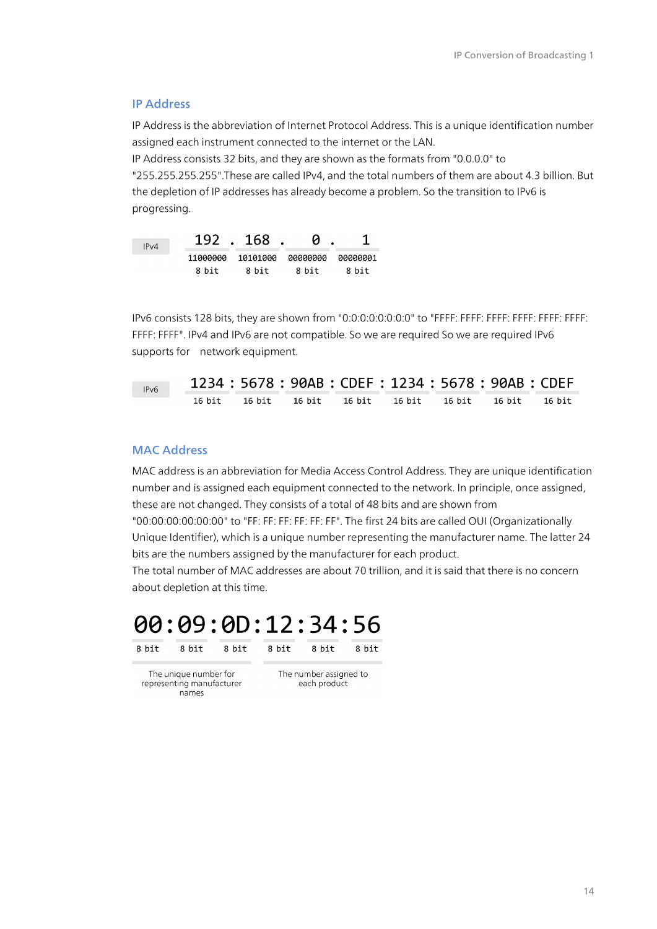#### IP Address

IP Address is the abbreviation of Internet Protocol Address. This is a unique identification number assigned each instrument connected to the internet or the LAN.

IP Address consists 32 bits, and they are shown as the formats from "0.0.0.0" to "255.255.255.255".These are called IPv4, and the total numbers of them are about 4.3 billion. But the depletion of IP addresses has already become a problem. So the transition to IPv6 is progressing.



IPv6 consists 128 bits, they are shown from "0:0:0:0:0:0:0:0" to "FFFF: FFFF: FFFF: FFFF: FFFF: FFFF: FFFF: FFFF". IPv4 and IPv6 are not compatible. So we are required So we are required IPv6 supports for network equipment.

| IPv6 |  | 1234: 5678: 90AB: CDEF: 1234: 5678: 90AB: CDEF   |  |        |
|------|--|--------------------------------------------------|--|--------|
|      |  | 16 bit 16 bit 16 bit 16 bit 16 bit 16 bit 16 bit |  | 16 hit |

#### MAC Address

MAC address is an abbreviation for Media Access Control Address. They are unique identification number and is assigned each equipment connected to the network. In principle, once assigned, these are not changed. They consists of a total of 48 bits and are shown from "00:00:00:00:00:00" to "FF: FF: FF: FF: FF: FF". The first 24 bits are called OUI (Organizationally Unique Identifier), which is a unique number representing the manufacturer name. The latter 24 bits are the numbers assigned by the manufacturer for each product.

The total number of MAC addresses are about 70 trillion, and it is said that there is no concern about depletion at this time.

8 bit



8 bit

8 bit 8 bit 8 bit

The unique number for representing manufacturer names

The number assigned to each product

8 bit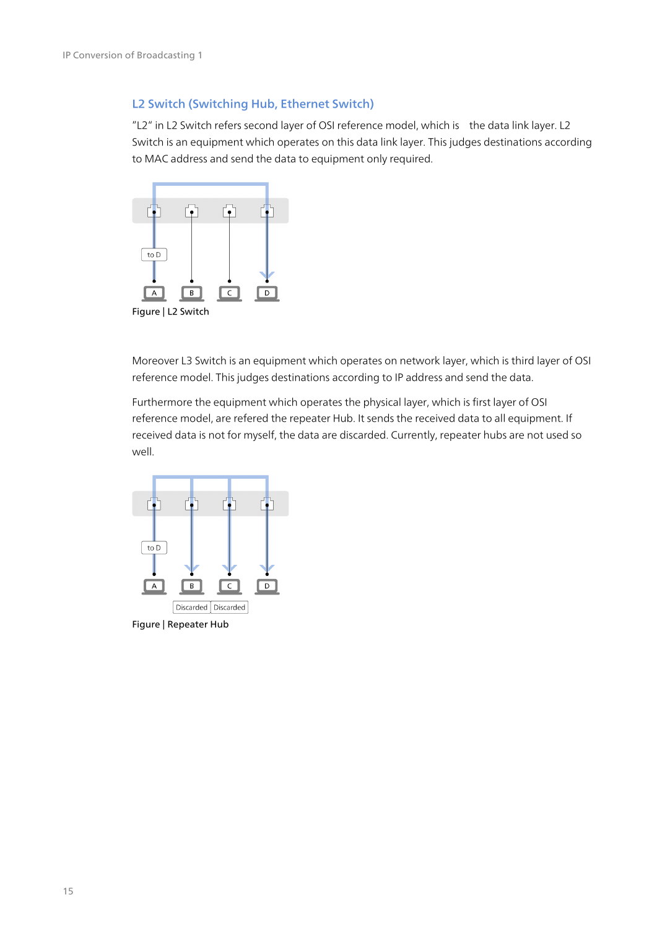#### L2 Switch (Switching Hub, Ethernet Switch)

"L2" in L2 Switch refers second layer of OSI reference model, which is the data link layer. L2 Switch is an equipment which operates on this data link layer. This judges destinations according to MAC address and send the data to equipment only required.



Moreover L3 Switch is an equipment which operates on network layer, which is third layer of OSI reference model. This judges destinations according to IP address and send the data.

Furthermore the equipment which operates the physical layer, which is first layer of OSI reference model, are refered the repeater Hub. It sends the received data to all equipment. If received data is not for myself, the data are discarded. Currently, repeater hubs are not used so well.